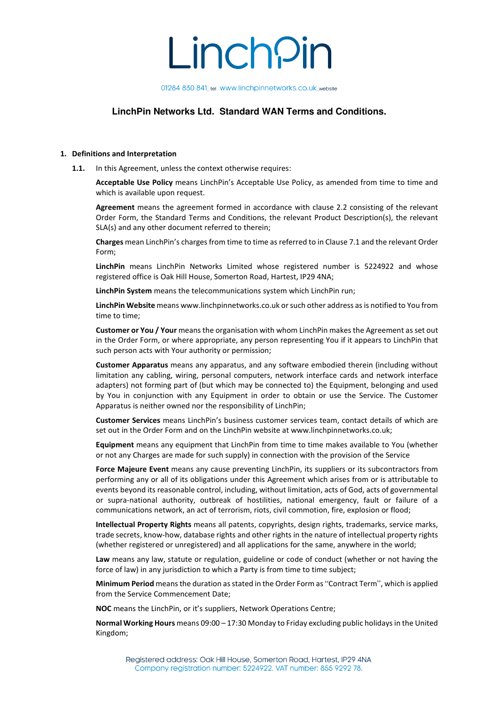01284 830 841\_tel www.linchpinnetworks.co.uk\_website

# **LinchPin Networks Ltd. Standard WAN Terms and Conditions.**

### **1. Definitions and Interpretation**

**1.1.** In this Agreement, unless the context otherwise requires:

**Acceptable Use Policy** means LinchPin's Acceptable Use Policy, as amended from time to time and which is available upon request.

**Agreement** means the agreement formed in accordance with clause 2.2 consisting of the relevant Order Form, the Standard Terms and Conditions, the relevant Product Description(s), the relevant SLA(s) and any other document referred to therein;

**Charges** mean LinchPin's charges from time to time as referred to in Clause 7.1 and the relevant Order Form;

**LinchPin** means LinchPin Networks Limited whose registered number is 5224922 and whose registered office is Oak Hill House, Somerton Road, Hartest, IP29 4NA;

**LinchPin System** means the telecommunications system which LinchPin run;

**LinchPin Website** means www.linchpinnetworks.co.uk or such other address as is notified to You from time to time;

**Customer or You / Your** means the organisation with whom LinchPin makes the Agreement as set out in the Order Form, or where appropriate, any person representing You if it appears to LinchPin that such person acts with Your authority or permission;

**Customer Apparatus** means any apparatus, and any software embodied therein (including without limitation any cabling, wiring, personal computers, network interface cards and network interface adapters) not forming part of (but which may be connected to) the Equipment, belonging and used by You in conjunction with any Equipment in order to obtain or use the Service. The Customer Apparatus is neither owned nor the responsibility of LinchPin;

**Customer Services** means LinchPin's business customer services team, contact details of which are set out in the Order Form and on the LinchPin website at www.linchpinnetworks.co.uk;

**Equipment** means any equipment that LinchPin from time to time makes available to You (whether or not any Charges are made for such supply) in connection with the provision of the Service

Force Majeure Event means any cause preventing LinchPin, its suppliers or its subcontractors from performing any or all of its obligations under this Agreement which arises from or is attributable to events beyond its reasonable control, including, without limitation, acts of God, acts of governmental or supra-national authority, outbreak of hostilities, national emergency, fault or failure of a communications network, an act of terrorism, riots, civil commotion, fire, explosion or flood;

**Intellectual Property Rights** means all patents, copyrights, design rights, trademarks, service marks, trade secrets, know-how, database rights and other rights in the nature of intellectual property rights (whether registered or unregistered) and all applications for the same, anywhere in the world;

**Law** means any law, statute or regulation, guideline or code of conduct (whether or not having the force of law) in any jurisdiction to which a Party is from time to time subject;

**Minimum Period** means the duration as stated in the Order Form as "Contract Term", which is applied from the Service Commencement Date;

**NOC** means the LinchPin, or it's suppliers, Network Operations Centre;

**Normal Working Hours** means 09:00 – 17:30 Monday to Friday excluding public holidays in the United Kingdom;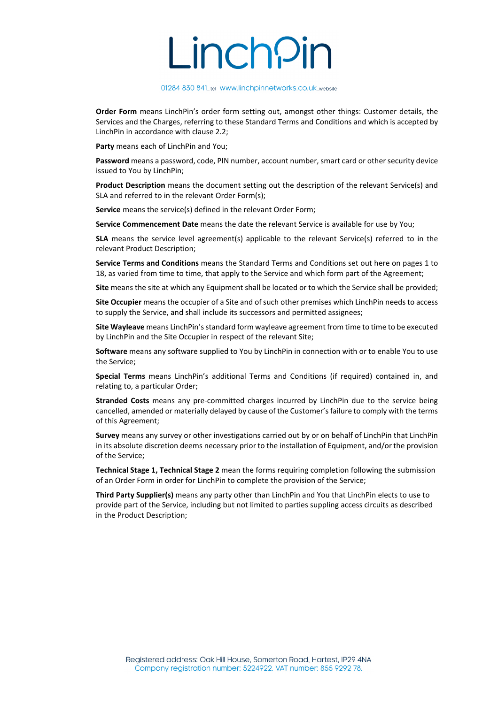#### 01284 830 841\_tel www.linchpinnetworks.co.uk\_website

**Order Form** means LinchPin's order form setting out, amongst other things: Customer details, the Services and the Charges, referring to these Standard Terms and Conditions and which is accepted by LinchPin in accordance with clause 2.2;

**Party** means each of LinchPin and You;

**Password** means a password, code, PIN number, account number, smart card or other security device issued to You by LinchPin;

**Product Description** means the document setting out the description of the relevant Service(s) and SLA and referred to in the relevant Order Form(s);

**Service** means the service(s) defined in the relevant Order Form;

**Service Commencement Date** means the date the relevant Service is available for use by You;

**SLA** means the service level agreement(s) applicable to the relevant Service(s) referred to in the relevant Product Description;

**Service Terms and Conditions** means the Standard Terms and Conditions set out here on pages 1 to 18, as varied from time to time, that apply to the Service and which form part of the Agreement;

**Site** means the site at which any Equipment shall be located or to which the Service shall be provided;

**Site Occupier** means the occupier of a Site and of such other premises which LinchPin needs to access to supply the Service, and shall include its successors and permitted assignees;

**Site Wayleave** means LinchPin's standard form wayleave agreement from time to time to be executed by LinchPin and the Site Occupier in respect of the relevant Site;

**Software** means any software supplied to You by LinchPin in connection with or to enable You to use the Service;

**Special Terms** means LinchPin's additional Terms and Conditions (if required) contained in, and relating to, a particular Order;

**Stranded Costs** means any pre-committed charges incurred by LinchPin due to the service being cancelled, amended or materially delayed by cause of the Customer's failure to comply with the terms of this Agreement;

**Survey** means any survey or other investigations carried out by or on behalf of LinchPin that LinchPin in its absolute discretion deems necessary prior to the installation of Equipment, and/or the provision of the Service;

**Technical Stage 1, Technical Stage 2** mean the forms requiring completion following the submission of an Order Form in order for LinchPin to complete the provision of the Service;

**Third Party Supplier(s)** means any party other than LinchPin and You that LinchPin elects to use to provide part of the Service, including but not limited to parties suppling access circuits as described in the Product Description;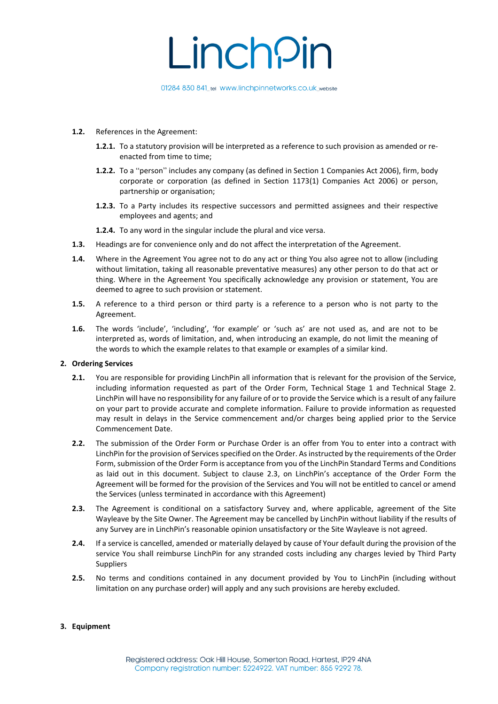

- **1.2.** References in the Agreement:
	- **1.2.1.** To a statutory provision will be interpreted as a reference to such provision as amended or reenacted from time to time;
	- **1.2.2.** To a "person" includes any company (as defined in Section 1 Companies Act 2006), firm, body corporate or corporation (as defined in Section 1173(1) Companies Act 2006) or person, partnership or organisation;
	- **1.2.3.** To a Party includes its respective successors and permitted assignees and their respective employees and agents; and
	- **1.2.4.** To any word in the singular include the plural and vice versa.
- **1.3.** Headings are for convenience only and do not affect the interpretation of the Agreement.
- **1.4.** Where in the Agreement You agree not to do any act or thing You also agree not to allow (including without limitation, taking all reasonable preventative measures) any other person to do that act or thing. Where in the Agreement You specifically acknowledge any provision or statement, You are deemed to agree to such provision or statement.
- **1.5.** A reference to a third person or third party is a reference to a person who is not party to the Agreement.
- **1.6.** The words 'include', 'including', 'for example' or 'such as' are not used as, and are not to be interpreted as, words of limitation, and, when introducing an example, do not limit the meaning of the words to which the example relates to that example or examples of a similar kind.

#### **2. Ordering Services**

- **2.1.** You are responsible for providing LinchPin all information that is relevant for the provision of the Service, including information requested as part of the Order Form, Technical Stage 1 and Technical Stage 2. LinchPin will have no responsibility for any failure of or to provide the Service which is a result of any failure on your part to provide accurate and complete information. Failure to provide information as requested may result in delays in the Service commencement and/or charges being applied prior to the Service Commencement Date.
- **2.2.** The submission of the Order Form or Purchase Order is an offer from You to enter into a contract with LinchPin for the provision of Services specified on the Order. As instructed by the requirements of the Order Form, submission of the Order Form is acceptance from you of the LinchPin Standard Terms and Conditions as laid out in this document. Subject to clause 2.3, on LinchPin's acceptance of the Order Form the Agreement will be formed for the provision of the Services and You will not be entitled to cancel or amend the Services (unless terminated in accordance with this Agreement)
- **2.3.** The Agreement is conditional on a satisfactory Survey and, where applicable, agreement of the Site Wayleave by the Site Owner. The Agreement may be cancelled by LinchPin without liability if the results of any Survey are in LinchPin's reasonable opinion unsatisfactory or the Site Wayleave is not agreed.
- **2.4.** If a service is cancelled, amended or materially delayed by cause of Your default during the provision of the service You shall reimburse LinchPin for any stranded costs including any charges levied by Third Party Suppliers
- **2.5.** No terms and conditions contained in any document provided by You to LinchPin (including without limitation on any purchase order) will apply and any such provisions are hereby excluded.

#### **3. Equipment**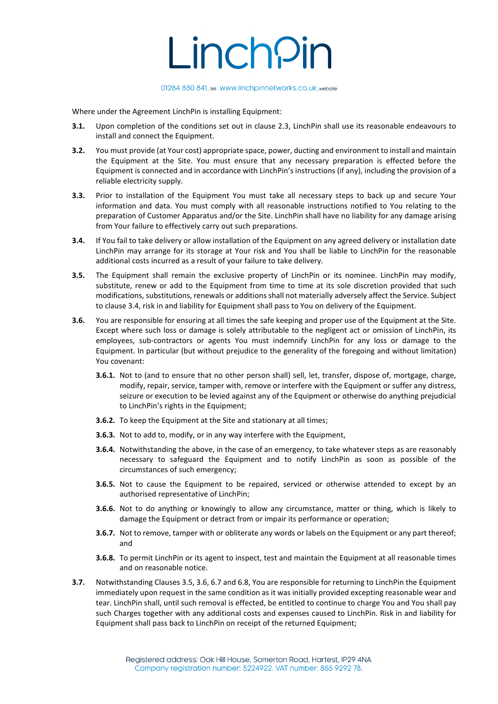

Where under the Agreement LinchPin is installing Equipment:

- **3.1.** Upon completion of the conditions set out in clause 2.3, LinchPin shall use its reasonable endeavours to install and connect the Equipment.
- **3.2.** You must provide (at Your cost) appropriate space, power, ducting and environment to install and maintain the Equipment at the Site. You must ensure that any necessary preparation is effected before the Equipment is connected and in accordance with LinchPin's instructions (if any), including the provision of a reliable electricity supply.
- **3.3.** Prior to installation of the Equipment You must take all necessary steps to back up and secure Your information and data. You must comply with all reasonable instructions notified to You relating to the preparation of Customer Apparatus and/or the Site. LinchPin shall have no liability for any damage arising from Your failure to effectively carry out such preparations.
- **3.4.** If You fail to take delivery or allow installation of the Equipment on any agreed delivery or installation date LinchPin may arrange for its storage at Your risk and You shall be liable to LinchPin for the reasonable additional costs incurred as a result of your failure to take delivery.
- **3.5.** The Equipment shall remain the exclusive property of LinchPin or its nominee. LinchPin may modify, substitute, renew or add to the Equipment from time to time at its sole discretion provided that such modifications, substitutions, renewals or additions shall not materially adversely affect the Service. Subject to clause 3.4, risk in and liability for Equipment shall pass to You on delivery of the Equipment.
- **3.6.** You are responsible for ensuring at all times the safe keeping and proper use of the Equipment at the Site. Except where such loss or damage is solely attributable to the negligent act or omission of LinchPin, its employees, sub-contractors or agents You must indemnify LinchPin for any loss or damage to the Equipment. In particular (but without prejudice to the generality of the foregoing and without limitation) You covenant:
	- **3.6.1.** Not to (and to ensure that no other person shall) sell, let, transfer, dispose of, mortgage, charge, modify, repair, service, tamper with, remove or interfere with the Equipment or suffer any distress, seizure or execution to be levied against any of the Equipment or otherwise do anything prejudicial to LinchPin's rights in the Equipment;
	- **3.6.2.** To keep the Equipment at the Site and stationary at all times;
	- **3.6.3.** Not to add to, modify, or in any way interfere with the Equipment,
	- **3.6.4.** Notwithstanding the above, in the case of an emergency, to take whatever steps as are reasonably necessary to safeguard the Equipment and to notify LinchPin as soon as possible of the circumstances of such emergency;
	- **3.6.5.** Not to cause the Equipment to be repaired, serviced or otherwise attended to except by an authorised representative of LinchPin;
	- **3.6.6.** Not to do anything or knowingly to allow any circumstance, matter or thing, which is likely to damage the Equipment or detract from or impair its performance or operation;
	- **3.6.7.** Not to remove, tamper with or obliterate any words or labels on the Equipment or any part thereof; and
	- **3.6.8.** To permit LinchPin or its agent to inspect, test and maintain the Equipment at all reasonable times and on reasonable notice.
- **3.7.** Notwithstanding Clauses 3.5, 3.6, 6.7 and 6.8, You are responsible for returning to LinchPin the Equipment immediately upon request in the same condition as it was initially provided excepting reasonable wear and tear. LinchPin shall, until such removal is effected, be entitled to continue to charge You and You shall pay such Charges together with any additional costs and expenses caused to LinchPin. Risk in and liability for Equipment shall pass back to LinchPin on receipt of the returned Equipment;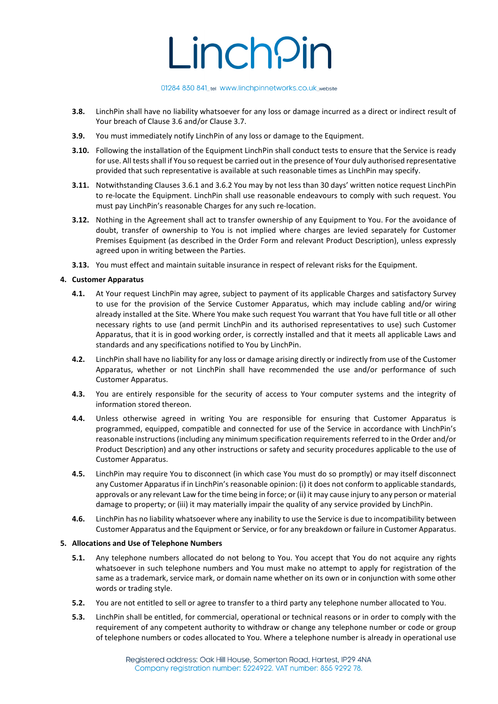### 01284 830 841\_tel www.linchpinnetworks.co.uk\_website

- **3.8.** LinchPin shall have no liability whatsoever for any loss or damage incurred as a direct or indirect result of Your breach of Clause 3.6 and/or Clause 3.7.
- **3.9.** You must immediately notify LinchPin of any loss or damage to the Equipment.
- **3.10.** Following the installation of the Equipment LinchPin shall conduct tests to ensure that the Service is ready for use. All tests shall if You so request be carried out in the presence of Your duly authorised representative provided that such representative is available at such reasonable times as LinchPin may specify.
- **3.11.** Notwithstanding Clauses 3.6.1 and 3.6.2 You may by not less than 30 days' written notice request LinchPin to re-locate the Equipment. LinchPin shall use reasonable endeavours to comply with such request. You must pay LinchPin's reasonable Charges for any such re-location.
- **3.12.** Nothing in the Agreement shall act to transfer ownership of any Equipment to You. For the avoidance of doubt, transfer of ownership to You is not implied where charges are levied separately for Customer Premises Equipment (as described in the Order Form and relevant Product Description), unless expressly agreed upon in writing between the Parties.
- **3.13.** You must effect and maintain suitable insurance in respect of relevant risks for the Equipment.

### **4. Customer Apparatus**

- **4.1.** At Your request LinchPin may agree, subject to payment of its applicable Charges and satisfactory Survey to use for the provision of the Service Customer Apparatus, which may include cabling and/or wiring already installed at the Site. Where You make such request You warrant that You have full title or all other necessary rights to use (and permit LinchPin and its authorised representatives to use) such Customer Apparatus, that it is in good working order, is correctly installed and that it meets all applicable Laws and standards and any specifications notified to You by LinchPin.
- **4.2.** LinchPin shall have no liability for any loss or damage arising directly or indirectly from use of the Customer Apparatus, whether or not LinchPin shall have recommended the use and/or performance of such Customer Apparatus.
- **4.3.** You are entirely responsible for the security of access to Your computer systems and the integrity of information stored thereon.
- **4.4.** Unless otherwise agreed in writing You are responsible for ensuring that Customer Apparatus is programmed, equipped, compatible and connected for use of the Service in accordance with LinchPin's reasonable instructions (including any minimum specification requirements referred to in the Order and/or Product Description) and any other instructions or safety and security procedures applicable to the use of Customer Apparatus.
- **4.5.** LinchPin may require You to disconnect (in which case You must do so promptly) or may itself disconnect any Customer Apparatus if in LinchPin's reasonable opinion: (i) it does not conform to applicable standards, approvals or any relevant Law for the time being in force; or (ii) it may cause injury to any person or material damage to property; or (iii) it may materially impair the quality of any service provided by LinchPin.
- **4.6.** LinchPin has no liability whatsoever where any inability to use the Service is due to incompatibility between Customer Apparatus and the Equipment or Service, or for any breakdown or failure in Customer Apparatus.

#### **5. Allocations and Use of Telephone Numbers**

- **5.1.** Any telephone numbers allocated do not belong to You. You accept that You do not acquire any rights whatsoever in such telephone numbers and You must make no attempt to apply for registration of the same as a trademark, service mark, or domain name whether on its own or in conjunction with some other words or trading style.
- **5.2.** You are not entitled to sell or agree to transfer to a third party any telephone number allocated to You.
- **5.3.** LinchPin shall be entitled, for commercial, operational or technical reasons or in order to comply with the requirement of any competent authority to withdraw or change any telephone number or code or group of telephone numbers or codes allocated to You. Where a telephone number is already in operational use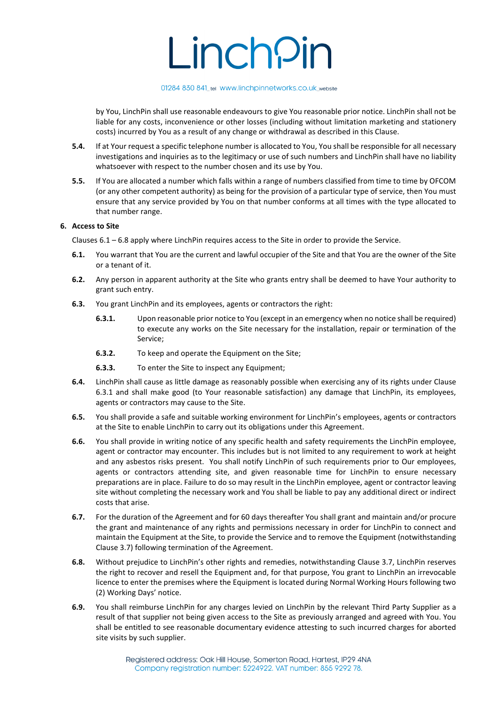### 01284 830 841\_tel www.linchpinnetworks.co.uk\_website

by You, LinchPin shall use reasonable endeavours to give You reasonable prior notice. LinchPin shall not be liable for any costs, inconvenience or other losses (including without limitation marketing and stationery costs) incurred by You as a result of any change or withdrawal as described in this Clause.

- **5.4.** If at Your request a specific telephone number is allocated to You, You shall be responsible for all necessary investigations and inquiries as to the legitimacy or use of such numbers and LinchPin shall have no liability whatsoever with respect to the number chosen and its use by You.
- **5.5.** If You are allocated a number which falls within a range of numbers classified from time to time by OFCOM (or any other competent authority) as being for the provision of a particular type of service, then You must ensure that any service provided by You on that number conforms at all times with the type allocated to that number range.

# **6. Access to Site**

Clauses 6.1 – 6.8 apply where LinchPin requires access to the Site in order to provide the Service.

- **6.1.** You warrant that You are the current and lawful occupier of the Site and that You are the owner of the Site or a tenant of it.
- **6.2.** Any person in apparent authority at the Site who grants entry shall be deemed to have Your authority to grant such entry.
- **6.3.** You grant LinchPin and its employees, agents or contractors the right:
	- **6.3.1.** Upon reasonable prior notice to You (except in an emergency when no notice shall be required) to execute any works on the Site necessary for the installation, repair or termination of the Service;
	- **6.3.2.** To keep and operate the Equipment on the Site;
	- **6.3.3.** To enter the Site to inspect any Equipment;
- **6.4.** LinchPin shall cause as little damage as reasonably possible when exercising any of its rights under Clause 6.3.1 and shall make good (to Your reasonable satisfaction) any damage that LinchPin, its employees, agents or contractors may cause to the Site.
- **6.5.** You shall provide a safe and suitable working environment for LinchPin's employees, agents or contractors at the Site to enable LinchPin to carry out its obligations under this Agreement.
- **6.6.** You shall provide in writing notice of any specific health and safety requirements the LinchPin employee, agent or contractor may encounter. This includes but is not limited to any requirement to work at height and any asbestos risks present. You shall notify LinchPin of such requirements prior to Our employees, agents or contractors attending site, and given reasonable time for LinchPin to ensure necessary preparations are in place. Failure to do so may result in the LinchPin employee, agent or contractor leaving site without completing the necessary work and You shall be liable to pay any additional direct or indirect costs that arise.
- **6.7.** For the duration of the Agreement and for 60 days thereafter You shall grant and maintain and/or procure the grant and maintenance of any rights and permissions necessary in order for LinchPin to connect and maintain the Equipment at the Site, to provide the Service and to remove the Equipment (notwithstanding Clause 3.7) following termination of the Agreement.
- **6.8.** Without prejudice to LinchPin's other rights and remedies, notwithstanding Clause 3.7, LinchPin reserves the right to recover and resell the Equipment and, for that purpose, You grant to LinchPin an irrevocable licence to enter the premises where the Equipment is located during Normal Working Hours following two (2) Working Days' notice.
- **6.9.** You shall reimburse LinchPin for any charges levied on LinchPin by the relevant Third Party Supplier as a result of that supplier not being given access to the Site as previously arranged and agreed with You. You shall be entitled to see reasonable documentary evidence attesting to such incurred charges for aborted site visits by such supplier.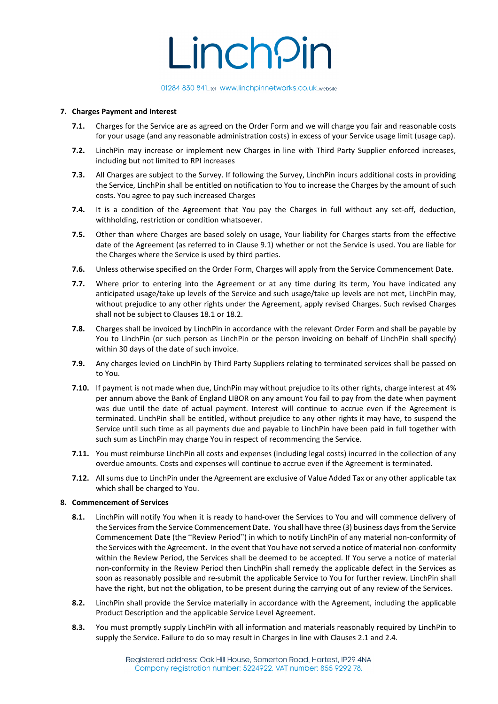#### 01284 830 841\_tel www.linchpinnetworks.co.uk\_website

### **7. Charges Payment and Interest**

- **7.1.** Charges for the Service are as agreed on the Order Form and we will charge you fair and reasonable costs for your usage (and any reasonable administration costs) in excess of your Service usage limit (usage cap).
- **7.2.** LinchPin may increase or implement new Charges in line with Third Party Supplier enforced increases, including but not limited to RPI increases
- **7.3.** All Charges are subject to the Survey. If following the Survey, LinchPin incurs additional costs in providing the Service, LinchPin shall be entitled on notification to You to increase the Charges by the amount of such costs. You agree to pay such increased Charges
- **7.4.** It is a condition of the Agreement that You pay the Charges in full without any set-off, deduction, withholding, restriction or condition whatsoever.
- **7.5.** Other than where Charges are based solely on usage, Your liability for Charges starts from the effective date of the Agreement (as referred to in Clause 9.1) whether or not the Service is used. You are liable for the Charges where the Service is used by third parties.
- **7.6.** Unless otherwise specified on the Order Form, Charges will apply from the Service Commencement Date.
- **7.7.** Where prior to entering into the Agreement or at any time during its term, You have indicated any anticipated usage/take up levels of the Service and such usage/take up levels are not met, LinchPin may, without prejudice to any other rights under the Agreement, apply revised Charges. Such revised Charges shall not be subject to Clauses 18.1 or 18.2.
- **7.8.** Charges shall be invoiced by LinchPin in accordance with the relevant Order Form and shall be payable by You to LinchPin (or such person as LinchPin or the person invoicing on behalf of LinchPin shall specify) within 30 days of the date of such invoice.
- **7.9.** Any charges levied on LinchPin by Third Party Suppliers relating to terminated services shall be passed on to You.
- **7.10.** If payment is not made when due, LinchPin may without prejudice to its other rights, charge interest at 4% per annum above the Bank of England LIBOR on any amount You fail to pay from the date when payment was due until the date of actual payment. Interest will continue to accrue even if the Agreement is terminated. LinchPin shall be entitled, without prejudice to any other rights it may have, to suspend the Service until such time as all payments due and payable to LinchPin have been paid in full together with such sum as LinchPin may charge You in respect of recommencing the Service.
- **7.11.** You must reimburse LinchPin all costs and expenses (including legal costs) incurred in the collection of any overdue amounts. Costs and expenses will continue to accrue even if the Agreement is terminated.
- **7.12.** All sums due to LinchPin under the Agreement are exclusive of Value Added Tax or any other applicable tax which shall be charged to You.

#### **8. Commencement of Services**

- **8.1.** LinchPin will notify You when it is ready to hand-over the Services to You and will commence delivery of the Services from the Service Commencement Date. You shall have three (3) business days from the Service Commencement Date (the "Review Period") in which to notify LinchPin of any material non-conformity of the Services with the Agreement. In the event that You have not served a notice of material non-conformity within the Review Period, the Services shall be deemed to be accepted. If You serve a notice of material non-conformity in the Review Period then LinchPin shall remedy the applicable defect in the Services as soon as reasonably possible and re-submit the applicable Service to You for further review. LinchPin shall have the right, but not the obligation, to be present during the carrying out of any review of the Services.
- **8.2.** LinchPin shall provide the Service materially in accordance with the Agreement, including the applicable Product Description and the applicable Service Level Agreement.
- **8.3.** You must promptly supply LinchPin with all information and materials reasonably required by LinchPin to supply the Service. Failure to do so may result in Charges in line with Clauses 2.1 and 2.4.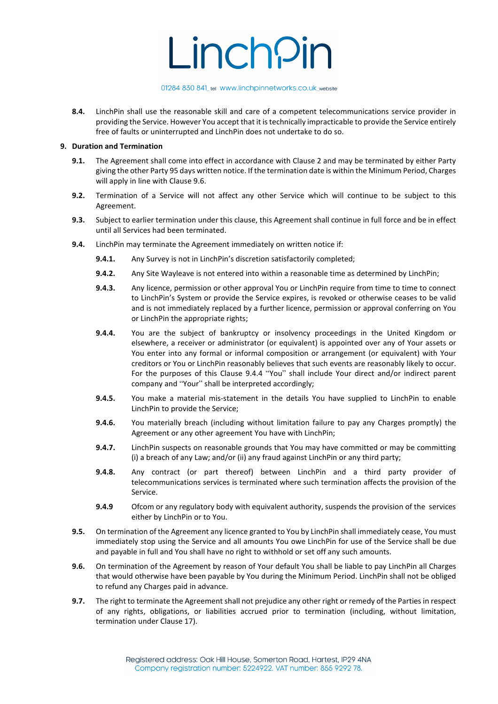### 01284 830 841\_tel www.linchpinnetworks.co.uk\_website

**8.4.** LinchPin shall use the reasonable skill and care of a competent telecommunications service provider in providing the Service. However You accept that it is technically impracticable to provide the Service entirely free of faults or uninterrupted and LinchPin does not undertake to do so.

### **9. Duration and Termination**

- **9.1.** The Agreement shall come into effect in accordance with Clause 2 and may be terminated by either Party giving the other Party 95 days written notice. If the termination date is within the Minimum Period, Charges will apply in line with Clause 9.6.
- **9.2.** Termination of a Service will not affect any other Service which will continue to be subject to this Agreement.
- **9.3.** Subject to earlier termination under this clause, this Agreement shall continue in full force and be in effect until all Services had been terminated.
- **9.4.** LinchPin may terminate the Agreement immediately on written notice if:
	- **9.4.1.** Any Survey is not in LinchPin's discretion satisfactorily completed;
	- **9.4.2.** Any Site Wayleave is not entered into within a reasonable time as determined by LinchPin;
	- **9.4.3.** Any licence, permission or other approval You or LinchPin require from time to time to connect to LinchPin's System or provide the Service expires, is revoked or otherwise ceases to be valid and is not immediately replaced by a further licence, permission or approval conferring on You or LinchPin the appropriate rights;
	- **9.4.4.** You are the subject of bankruptcy or insolvency proceedings in the United Kingdom or elsewhere, a receiver or administrator (or equivalent) is appointed over any of Your assets or You enter into any formal or informal composition or arrangement (or equivalent) with Your creditors or You or LinchPin reasonably believes that such events are reasonably likely to occur. For the purposes of this Clause 9.4.4 "You" shall include Your direct and/or indirect parent company and "Your" shall be interpreted accordingly;
	- **9.4.5.** You make a material mis-statement in the details You have supplied to LinchPin to enable LinchPin to provide the Service;
	- **9.4.6.** You materially breach (including without limitation failure to pay any Charges promptly) the Agreement or any other agreement You have with LinchPin;
	- **9.4.7.** LinchPin suspects on reasonable grounds that You may have committed or may be committing (i) a breach of any Law; and/or (ii) any fraud against LinchPin or any third party;
	- **9.4.8.** Any contract (or part thereof) between LinchPin and a third party provider of telecommunications services is terminated where such termination affects the provision of the Service.
	- **9.4.9** Ofcom or any regulatory body with equivalent authority, suspends the provision of the services either by LinchPin or to You.
- **9.5.** On termination of the Agreement any licence granted to You by LinchPin shall immediately cease, You must immediately stop using the Service and all amounts You owe LinchPin for use of the Service shall be due and payable in full and You shall have no right to withhold or set off any such amounts.
- **9.6.** On termination of the Agreement by reason of Your default You shall be liable to pay LinchPin all Charges that would otherwise have been payable by You during the Minimum Period. LinchPin shall not be obliged to refund any Charges paid in advance.
- **9.7.** The right to terminate the Agreement shall not prejudice any other right or remedy of the Parties in respect of any rights, obligations, or liabilities accrued prior to termination (including, without limitation, termination under Clause 17).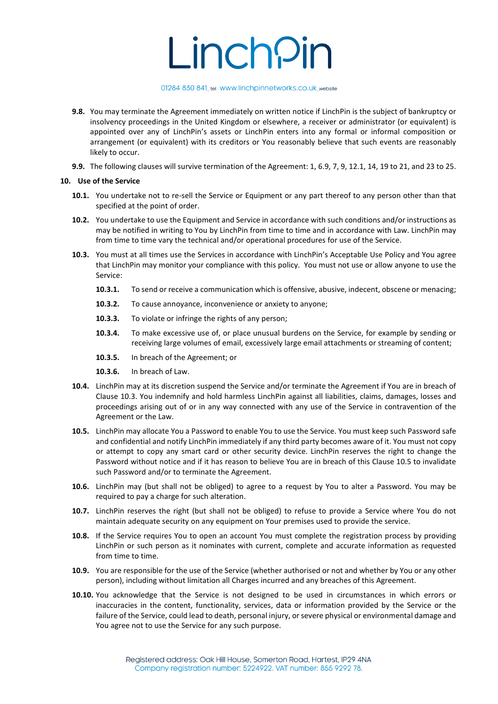# 01284 830 841\_tel www.linchpinnetworks.co.uk\_website

- **9.8.** You may terminate the Agreement immediately on written notice if LinchPin is the subject of bankruptcy or insolvency proceedings in the United Kingdom or elsewhere, a receiver or administrator (or equivalent) is appointed over any of LinchPin's assets or LinchPin enters into any formal or informal composition or arrangement (or equivalent) with its creditors or You reasonably believe that such events are reasonably likely to occur.
- **9.9.** The following clauses will survive termination of the Agreement: 1, 6.9, 7, 9, 12.1, 14, 19 to 21, and 23 to 25.

# **10. Use of the Service**

- **10.1.** You undertake not to re-sell the Service or Equipment or any part thereof to any person other than that specified at the point of order.
- **10.2.** You undertake to use the Equipment and Service in accordance with such conditions and/or instructions as may be notified in writing to You by LinchPin from time to time and in accordance with Law. LinchPin may from time to time vary the technical and/or operational procedures for use of the Service.
- **10.3.** You must at all times use the Services in accordance with LinchPin's Acceptable Use Policy and You agree that LinchPin may monitor your compliance with this policy. You must not use or allow anyone to use the Service:
	- **10.3.1.** To send or receive a communication which is offensive, abusive, indecent, obscene or menacing;
	- **10.3.2.** To cause annoyance, inconvenience or anxiety to anyone;
	- **10.3.3.** To violate or infringe the rights of any person;
	- **10.3.4.** To make excessive use of, or place unusual burdens on the Service, for example by sending or receiving large volumes of email, excessively large email attachments or streaming of content;
	- **10.3.5.** In breach of the Agreement; or
	- **10.3.6.** In breach of Law.
- **10.4.** LinchPin may at its discretion suspend the Service and/or terminate the Agreement if You are in breach of Clause 10.3. You indemnify and hold harmless LinchPin against all liabilities, claims, damages, losses and proceedings arising out of or in any way connected with any use of the Service in contravention of the Agreement or the Law.
- **10.5.** LinchPin may allocate You a Password to enable You to use the Service. You must keep such Password safe and confidential and notify LinchPin immediately if any third party becomes aware of it. You must not copy or attempt to copy any smart card or other security device. LinchPin reserves the right to change the Password without notice and if it has reason to believe You are in breach of this Clause 10.5 to invalidate such Password and/or to terminate the Agreement.
- **10.6.** LinchPin may (but shall not be obliged) to agree to a request by You to alter a Password. You may be required to pay a charge for such alteration.
- **10.7.** LinchPin reserves the right (but shall not be obliged) to refuse to provide a Service where You do not maintain adequate security on any equipment on Your premises used to provide the service.
- **10.8.** If the Service requires You to open an account You must complete the registration process by providing LinchPin or such person as it nominates with current, complete and accurate information as requested from time to time.
- **10.9.** You are responsible for the use of the Service (whether authorised or not and whether by You or any other person), including without limitation all Charges incurred and any breaches of this Agreement.
- **10.10.** You acknowledge that the Service is not designed to be used in circumstances in which errors or inaccuracies in the content, functionality, services, data or information provided by the Service or the failure of the Service, could lead to death, personal injury, or severe physical or environmental damage and You agree not to use the Service for any such purpose.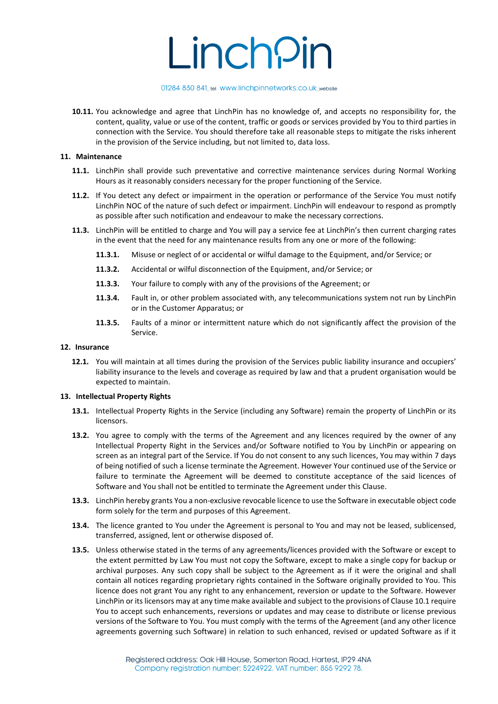# 01284 830 841\_tel www.linchpinnetworks.co.uk\_website

**10.11.** You acknowledge and agree that LinchPin has no knowledge of, and accepts no responsibility for, the content, quality, value or use of the content, traffic or goods or services provided by You to third parties in connection with the Service. You should therefore take all reasonable steps to mitigate the risks inherent in the provision of the Service including, but not limited to, data loss.

### **11. Maintenance**

- **11.1.** LinchPin shall provide such preventative and corrective maintenance services during Normal Working Hours as it reasonably considers necessary for the proper functioning of the Service.
- **11.2.** If You detect any defect or impairment in the operation or performance of the Service You must notify LinchPin NOC of the nature of such defect or impairment. LinchPin will endeavour to respond as promptly as possible after such notification and endeavour to make the necessary corrections.
- **11.3.** LinchPin will be entitled to charge and You will pay a service fee at LinchPin's then current charging rates in the event that the need for any maintenance results from any one or more of the following:
	- **11.3.1.** Misuse or neglect of or accidental or wilful damage to the Equipment, and/or Service; or
	- **11.3.2.** Accidental or wilful disconnection of the Equipment, and/or Service; or
	- **11.3.3.** Your failure to comply with any of the provisions of the Agreement; or
	- **11.3.4.** Fault in, or other problem associated with, any telecommunications system not run by LinchPin or in the Customer Apparatus; or
	- **11.3.5.** Faults of a minor or intermittent nature which do not significantly affect the provision of the Service.

#### **12. Insurance**

**12.1.** You will maintain at all times during the provision of the Services public liability insurance and occupiers' liability insurance to the levels and coverage as required by law and that a prudent organisation would be expected to maintain.

#### **13. Intellectual Property Rights**

- **13.1.** Intellectual Property Rights in the Service (including any Software) remain the property of LinchPin or its licensors.
- **13.2.** You agree to comply with the terms of the Agreement and any licences required by the owner of any Intellectual Property Right in the Services and/or Software notified to You by LinchPin or appearing on screen as an integral part of the Service. If You do not consent to any such licences, You may within 7 days of being notified of such a license terminate the Agreement. However Your continued use of the Service or failure to terminate the Agreement will be deemed to constitute acceptance of the said licences of Software and You shall not be entitled to terminate the Agreement under this Clause.
- **13.3.** LinchPin hereby grants You a non-exclusive revocable licence to use the Software in executable object code form solely for the term and purposes of this Agreement.
- **13.4.** The licence granted to You under the Agreement is personal to You and may not be leased, sublicensed, transferred, assigned, lent or otherwise disposed of.
- **13.5.** Unless otherwise stated in the terms of any agreements/licences provided with the Software or except to the extent permitted by Law You must not copy the Software, except to make a single copy for backup or archival purposes. Any such copy shall be subject to the Agreement as if it were the original and shall contain all notices regarding proprietary rights contained in the Software originally provided to You. This licence does not grant You any right to any enhancement, reversion or update to the Software. However LinchPin or its licensors may at any time make available and subject to the provisions of Clause 10.1 require You to accept such enhancements, reversions or updates and may cease to distribute or license previous versions of the Software to You. You must comply with the terms of the Agreement (and any other licence agreements governing such Software) in relation to such enhanced, revised or updated Software as if it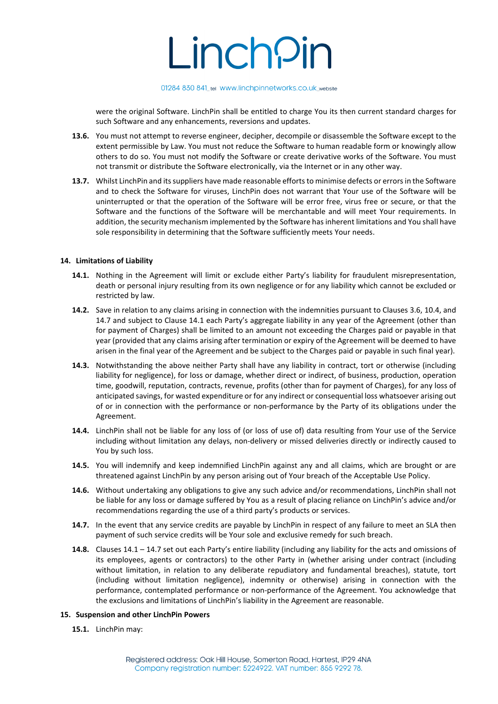

were the original Software. LinchPin shall be entitled to charge You its then current standard charges for such Software and any enhancements, reversions and updates.

- **13.6.** You must not attempt to reverse engineer, decipher, decompile or disassemble the Software except to the extent permissible by Law. You must not reduce the Software to human readable form or knowingly allow others to do so. You must not modify the Software or create derivative works of the Software. You must not transmit or distribute the Software electronically, via the Internet or in any other way.
- **13.7.** Whilst LinchPin and its suppliers have made reasonable efforts to minimise defects or errors in the Software and to check the Software for viruses, LinchPin does not warrant that Your use of the Software will be uninterrupted or that the operation of the Software will be error free, virus free or secure, or that the Software and the functions of the Software will be merchantable and will meet Your requirements. In addition, the security mechanism implemented by the Software has inherent limitations and You shall have sole responsibility in determining that the Software sufficiently meets Your needs.

### **14. Limitations of Liability**

- **14.1.** Nothing in the Agreement will limit or exclude either Party's liability for fraudulent misrepresentation, death or personal injury resulting from its own negligence or for any liability which cannot be excluded or restricted by law.
- **14.2.** Save in relation to any claims arising in connection with the indemnities pursuant to Clauses 3.6, 10.4, and 14.7 and subject to Clause 14.1 each Party's aggregate liability in any year of the Agreement (other than for payment of Charges) shall be limited to an amount not exceeding the Charges paid or payable in that year (provided that any claims arising after termination or expiry of the Agreement will be deemed to have arisen in the final year of the Agreement and be subject to the Charges paid or payable in such final year).
- **14.3.** Notwithstanding the above neither Party shall have any liability in contract, tort or otherwise (including liability for negligence), for loss or damage, whether direct or indirect, of business, production, operation time, goodwill, reputation, contracts, revenue, profits (other than for payment of Charges), for any loss of anticipated savings, for wasted expenditure or for any indirect or consequential loss whatsoever arising out of or in connection with the performance or non-performance by the Party of its obligations under the Agreement.
- **14.4.** LinchPin shall not be liable for any loss of (or loss of use of) data resulting from Your use of the Service including without limitation any delays, non-delivery or missed deliveries directly or indirectly caused to You by such loss.
- **14.5.** You will indemnify and keep indemnified LinchPin against any and all claims, which are brought or are threatened against LinchPin by any person arising out of Your breach of the Acceptable Use Policy.
- **14.6.** Without undertaking any obligations to give any such advice and/or recommendations, LinchPin shall not be liable for any loss or damage suffered by You as a result of placing reliance on LinchPin's advice and/or recommendations regarding the use of a third party's products or services.
- **14.7.** In the event that any service credits are payable by LinchPin in respect of any failure to meet an SLA then payment of such service credits will be Your sole and exclusive remedy for such breach.
- **14.8.** Clauses 14.1 14.7 set out each Party's entire liability (including any liability for the acts and omissions of its employees, agents or contractors) to the other Party in (whether arising under contract (including without limitation, in relation to any deliberate repudiatory and fundamental breaches), statute, tort (including without limitation negligence), indemnity or otherwise) arising in connection with the performance, contemplated performance or non-performance of the Agreement. You acknowledge that the exclusions and limitations of LinchPin's liability in the Agreement are reasonable.

### **15. Suspension and other LinchPin Powers**

**15.1.** LinchPin may: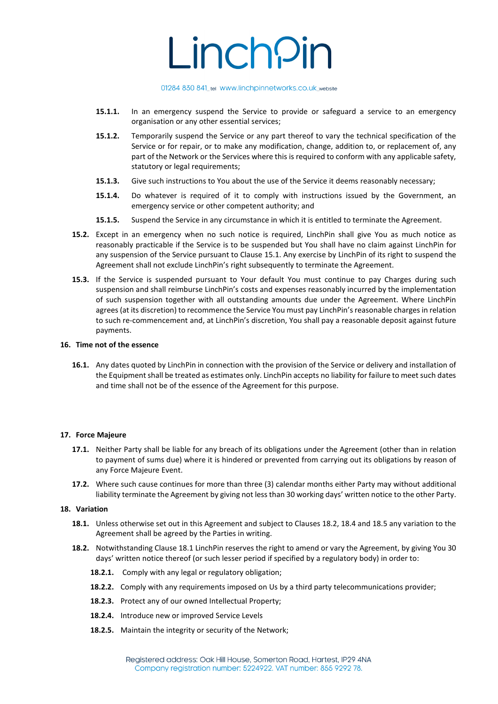#### 01284 830 841\_tel www.linchpinnetworks.co.uk\_website

- **15.1.1.** In an emergency suspend the Service to provide or safeguard a service to an emergency organisation or any other essential services;
- **15.1.2.** Temporarily suspend the Service or any part thereof to vary the technical specification of the Service or for repair, or to make any modification, change, addition to, or replacement of, any part of the Network or the Services where this is required to conform with any applicable safety, statutory or legal requirements;
- **15.1.3.** Give such instructions to You about the use of the Service it deems reasonably necessary;
- **15.1.4.** Do whatever is required of it to comply with instructions issued by the Government, an emergency service or other competent authority; and
- **15.1.5.** Suspend the Service in any circumstance in which it is entitled to terminate the Agreement.
- **15.2.** Except in an emergency when no such notice is required, LinchPin shall give You as much notice as reasonably practicable if the Service is to be suspended but You shall have no claim against LinchPin for any suspension of the Service pursuant to Clause 15.1. Any exercise by LinchPin of its right to suspend the Agreement shall not exclude LinchPin's right subsequently to terminate the Agreement.
- **15.3.** If the Service is suspended pursuant to Your default You must continue to pay Charges during such suspension and shall reimburse LinchPin's costs and expenses reasonably incurred by the implementation of such suspension together with all outstanding amounts due under the Agreement. Where LinchPin agrees (at its discretion) to recommence the Service You must pay LinchPin's reasonable charges in relation to such re-commencement and, at LinchPin's discretion, You shall pay a reasonable deposit against future payments.

# **16. Time not of the essence**

**16.1.** Any dates quoted by LinchPin in connection with the provision of the Service or delivery and installation of the Equipment shall be treated as estimates only. LinchPin accepts no liability for failure to meet such dates and time shall not be of the essence of the Agreement for this purpose.

# **17. Force Majeure**

- **17.1.** Neither Party shall be liable for any breach of its obligations under the Agreement (other than in relation to payment of sums due) where it is hindered or prevented from carrying out its obligations by reason of any Force Majeure Event.
- **17.2.** Where such cause continues for more than three (3) calendar months either Party may without additional liability terminate the Agreement by giving not less than 30 working days' written notice to the other Party.

#### **18. Variation**

- **18.1.** Unless otherwise set out in this Agreement and subject to Clauses 18.2, 18.4 and 18.5 any variation to the Agreement shall be agreed by the Parties in writing.
- **18.2.** Notwithstanding Clause 18.1 LinchPin reserves the right to amend or vary the Agreement, by giving You 30 days' written notice thereof (or such lesser period if specified by a regulatory body) in order to:
	- **18.2.1.** Comply with any legal or regulatory obligation;
	- **18.2.2.** Comply with any requirements imposed on Us by a third party telecommunications provider;
	- **18.2.3.** Protect any of our owned Intellectual Property;
	- **18.2.4.** Introduce new or improved Service Levels
	- **18.2.5.** Maintain the integrity or security of the Network;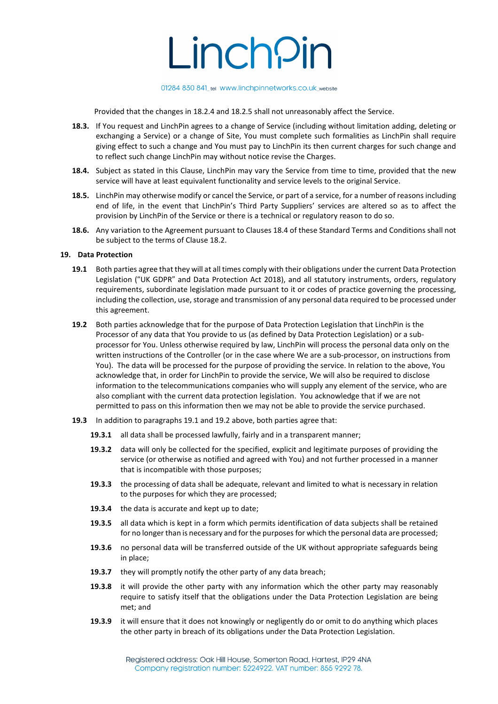

Provided that the changes in 18.2.4 and 18.2.5 shall not unreasonably affect the Service.

- **18.3.** If You request and LinchPin agrees to a change of Service (including without limitation adding, deleting or exchanging a Service) or a change of Site, You must complete such formalities as LinchPin shall require giving effect to such a change and You must pay to LinchPin its then current charges for such change and to reflect such change LinchPin may without notice revise the Charges.
- **18.4.** Subject as stated in this Clause, LinchPin may vary the Service from time to time, provided that the new service will have at least equivalent functionality and service levels to the original Service.
- **18.5.** LinchPin may otherwise modify or cancel the Service, or part of a service, for a number of reasons including end of life, in the event that LinchPin's Third Party Suppliers' services are altered so as to affect the provision by LinchPin of the Service or there is a technical or regulatory reason to do so.
- **18.6.** Any variation to the Agreement pursuant to Clauses 18.4 of these Standard Terms and Conditions shall not be subject to the terms of Clause 18.2.

#### **19. Data Protection**

- **19.1** Both parties agree that they will at all times comply with their obligations under the current Data Protection Legislation ("UK GDPR" and Data Protection Act 2018), and all statutory instruments, orders, regulatory requirements, subordinate legislation made pursuant to it or codes of practice governing the processing, including the collection, use, storage and transmission of any personal data required to be processed under this agreement.
- **19.2** Both parties acknowledge that for the purpose of Data Protection Legislation that LinchPin is the Processor of any data that You provide to us (as defined by Data Protection Legislation) or a subprocessor for You. Unless otherwise required by law, LinchPin will process the personal data only on the written instructions of the Controller (or in the case where We are a sub-processor, on instructions from You). The data will be processed for the purpose of providing the service. In relation to the above, You acknowledge that, in order for LinchPin to provide the service, We will also be required to disclose information to the telecommunications companies who will supply any element of the service, who are also compliant with the current data protection legislation. You acknowledge that if we are not permitted to pass on this information then we may not be able to provide the service purchased.
- **19.3** In addition to paragraphs 19.1 and 19.2 above, both parties agree that:
	- **19.3.1** all data shall be processed lawfully, fairly and in a transparent manner;
	- **19.3.2** data will only be collected for the specified, explicit and legitimate purposes of providing the service (or otherwise as notified and agreed with You) and not further processed in a manner that is incompatible with those purposes;
	- **19.3.3** the processing of data shall be adequate, relevant and limited to what is necessary in relation to the purposes for which they are processed;
	- **19.3.4** the data is accurate and kept up to date;
	- **19.3.5** all data which is kept in a form which permits identification of data subjects shall be retained for no longer than is necessary and for the purposes for which the personal data are processed;
	- **19.3.6** no personal data will be transferred outside of the UK without appropriate safeguards being in place;
	- **19.3.7** they will promptly notify the other party of any data breach;
	- **19.3.8** it will provide the other party with any information which the other party may reasonably require to satisfy itself that the obligations under the Data Protection Legislation are being met; and
	- **19.3.9** it will ensure that it does not knowingly or negligently do or omit to do anything which places the other party in breach of its obligations under the Data Protection Legislation.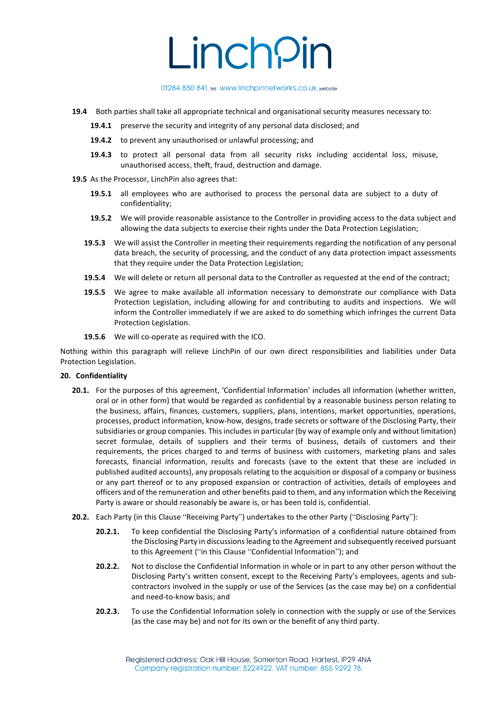01284 830 841\_tel www.linchpinnetworks.co.uk\_website

- **19.4** Both parties shall take all appropriate technical and organisational security measures necessary to:
	- **19.4.1** preserve the security and integrity of any personal data disclosed; and
	- **19.4.2** to prevent any unauthorised or unlawful processing; and
	- **19.4.3** to protect all personal data from all security risks including accidental loss, misuse, unauthorised access, theft, fraud, destruction and damage.
- **19.5** As the Processor, LinchPin also agrees that:
	- **19.5.1** all employees who are authorised to process the personal data are subject to a duty of confidentiality;
	- **19.5.2** We will provide reasonable assistance to the Controller in providing access to the data subject and allowing the data subjects to exercise their rights under the Data Protection Legislation;
	- **19.5.3** We will assist the Controller in meeting their requirements regarding the notification of any personal data breach, the security of processing, and the conduct of any data protection impact assessments that they require under the Data Protection Legislation;
	- **19.5.4** We will delete or return all personal data to the Controller as requested at the end of the contract;
	- **19.5.5** We agree to make available all information necessary to demonstrate our compliance with Data Protection Legislation, including allowing for and contributing to audits and inspections. We will inform the Controller immediately if we are asked to do something which infringes the current Data Protection Legislation.
	- **19.5.6** We will co-operate as required with the ICO.

Nothing within this paragraph will relieve LinchPin of our own direct responsibilities and liabilities under Data Protection Legislation.

# **20. Confidentiality**

- **20.1.** For the purposes of this agreement, 'Confidential Information' includes all information (whether written, oral or in other form) that would be regarded as confidential by a reasonable business person relating to the business, affairs, finances, customers, suppliers, plans, intentions, market opportunities, operations, processes, product information, know-how, designs, trade secrets or software of the Disclosing Party, their subsidiaries or group companies. This includes in particular (by way of example only and without limitation) secret formulae, details of suppliers and their terms of business, details of customers and their requirements, the prices charged to and terms of business with customers, marketing plans and sales forecasts, financial information, results and forecasts (save to the extent that these are included in published audited accounts), any proposals relating to the acquisition or disposal of a company or business or any part thereof or to any proposed expansion or contraction of activities, details of employees and officers and of the remuneration and other benefits paid to them, and any information which the Receiving Party is aware or should reasonably be aware is, or has been told is, confidential.
- **20.2.** Each Party (in this Clause "Receiving Party") undertakes to the other Party ("Disclosing Party"):
	- **20.2.1.** To keep confidential the Disclosing Party's information of a confidential nature obtained from the Disclosing Party in discussions leading to the Agreement and subsequently received pursuant to this Agreement ("in this Clause "Confidential Information"); and
	- **20.2.2.** Not to disclose the Confidential Information in whole or in part to any other person without the Disclosing Party's written consent, except to the Receiving Party's employees, agents and subcontractors involved in the supply or use of the Services (as the case may be) on a confidential and need-to-know basis; and
	- **20.2.3.** To use the Confidential Information solely in connection with the supply or use of the Services (as the case may be) and not for its own or the benefit of any third party.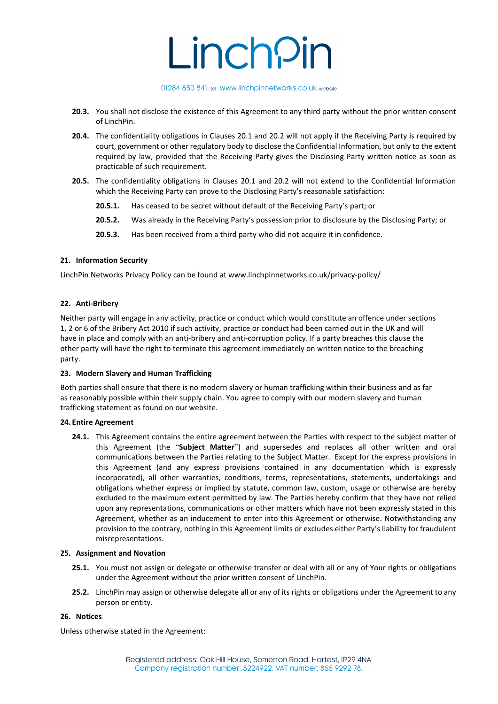### 01284 830 841\_tel www.linchpinnetworks.co.uk\_website

- **20.3.** You shall not disclose the existence of this Agreement to any third party without the prior written consent of LinchPin.
- **20.4.** The confidentiality obligations in Clauses 20.1 and 20.2 will not apply if the Receiving Party is required by court, government or other regulatory body to disclose the Confidential Information, but only to the extent required by law, provided that the Receiving Party gives the Disclosing Party written notice as soon as practicable of such requirement.
- **20.5.** The confidentiality obligations in Clauses 20.1 and 20.2 will not extend to the Confidential Information which the Receiving Party can prove to the Disclosing Party's reasonable satisfaction:
	- **20.5.1.** Has ceased to be secret without default of the Receiving Party's part; or
	- **20.5.2.** Was already in the Receiving Party's possession prior to disclosure by the Disclosing Party; or
	- **20.5.3.** Has been received from a third party who did not acquire it in confidence.

### **21. Information Security**

LinchPin Networks Privacy Policy can be found at www.linchpinnetworks.co.uk/privacy-policy/

### **22. Anti-Bribery**

Neither party will engage in any activity, practice or conduct which would constitute an offence under sections 1, 2 or 6 of the Bribery Act 2010 if such activity, practice or conduct had been carried out in the UK and will have in place and comply with an anti-bribery and anti-corruption policy. If a party breaches this clause the other party will have the right to terminate this agreement immediately on written notice to the breaching party.

#### **23. Modern Slavery and Human Trafficking**

Both parties shall ensure that there is no modern slavery or human trafficking within their business and as far as reasonably possible within their supply chain. You agree to comply with our modern slavery and human trafficking statement as found on our website.

#### **24. Entire Agreement**

**24.1.** This Agreement contains the entire agreement between the Parties with respect to the subject matter of this Agreement (the "**Subject Matter**") and supersedes and replaces all other written and oral communications between the Parties relating to the Subject Matter. Except for the express provisions in this Agreement (and any express provisions contained in any documentation which is expressly incorporated), all other warranties, conditions, terms, representations, statements, undertakings and obligations whether express or implied by statute, common law, custom, usage or otherwise are hereby excluded to the maximum extent permitted by law. The Parties hereby confirm that they have not relied upon any representations, communications or other matters which have not been expressly stated in this Agreement, whether as an inducement to enter into this Agreement or otherwise. Notwithstanding any provision to the contrary, nothing in this Agreement limits or excludes either Party's liability for fraudulent misrepresentations.

#### **25. Assignment and Novation**

- **25.1.** You must not assign or delegate or otherwise transfer or deal with all or any of Your rights or obligations under the Agreement without the prior written consent of LinchPin.
- **25.2.** LinchPin may assign or otherwise delegate all or any of its rights or obligations under the Agreement to any person or entity.

#### **26. Notices**

Unless otherwise stated in the Agreement: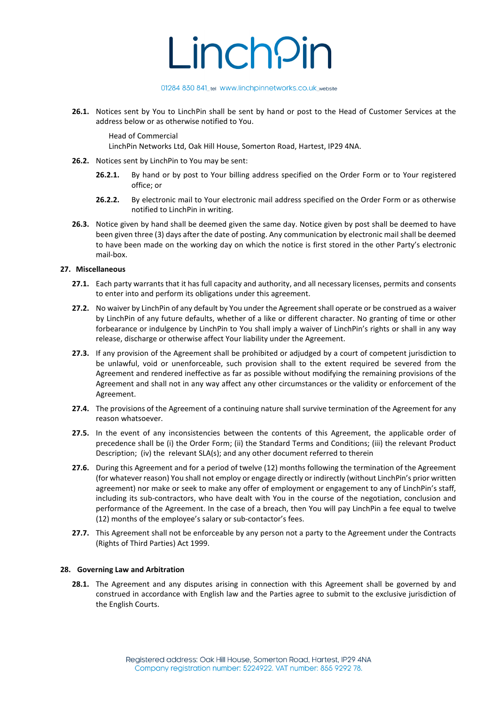#### 01284 830 841\_tel www.linchpinnetworks.co.uk\_website

**26.1.** Notices sent by You to LinchPin shall be sent by hand or post to the Head of Customer Services at the address below or as otherwise notified to You.

Head of Commercial

LinchPin Networks Ltd, Oak Hill House, Somerton Road, Hartest, IP29 4NA.

- **26.2.** Notices sent by LinchPin to You may be sent:
	- **26.2.1.** By hand or by post to Your billing address specified on the Order Form or to Your registered office; or
	- **26.2.2.** By electronic mail to Your electronic mail address specified on the Order Form or as otherwise notified to LinchPin in writing.
- **26.3.** Notice given by hand shall be deemed given the same day. Notice given by post shall be deemed to have been given three (3) days after the date of posting. Any communication by electronic mail shall be deemed to have been made on the working day on which the notice is first stored in the other Party's electronic mail-box.

# **27. Miscellaneous**

- **27.1.** Each party warrants that it has full capacity and authority, and all necessary licenses, permits and consents to enter into and perform its obligations under this agreement.
- **27.2.** No waiver by LinchPin of any default by You under the Agreement shall operate or be construed as a waiver by LinchPin of any future defaults, whether of a like or different character. No granting of time or other forbearance or indulgence by LinchPin to You shall imply a waiver of LinchPin's rights or shall in any way release, discharge or otherwise affect Your liability under the Agreement.
- **27.3.** If any provision of the Agreement shall be prohibited or adjudged by a court of competent jurisdiction to be unlawful, void or unenforceable, such provision shall to the extent required be severed from the Agreement and rendered ineffective as far as possible without modifying the remaining provisions of the Agreement and shall not in any way affect any other circumstances or the validity or enforcement of the Agreement.
- **27.4.** The provisions of the Agreement of a continuing nature shall survive termination of the Agreement for any reason whatsoever.
- **27.5.** In the event of any inconsistencies between the contents of this Agreement, the applicable order of precedence shall be (i) the Order Form; (ii) the Standard Terms and Conditions; (iii) the relevant Product Description; (iv) the relevant SLA(s); and any other document referred to therein
- **27.6.** During this Agreement and for a period of twelve (12) months following the termination of the Agreement (for whatever reason) You shall not employ or engage directly or indirectly (without LinchPin's prior written agreement) nor make or seek to make any offer of employment or engagement to any of LinchPin's staff, including its sub-contractors, who have dealt with You in the course of the negotiation, conclusion and performance of the Agreement. In the case of a breach, then You will pay LinchPin a fee equal to twelve (12) months of the employee's salary or sub-contactor's fees.
- **27.7.** This Agreement shall not be enforceable by any person not a party to the Agreement under the Contracts (Rights of Third Parties) Act 1999.

# **28. Governing Law and Arbitration**

**28.1.** The Agreement and any disputes arising in connection with this Agreement shall be governed by and construed in accordance with English law and the Parties agree to submit to the exclusive jurisdiction of the English Courts.